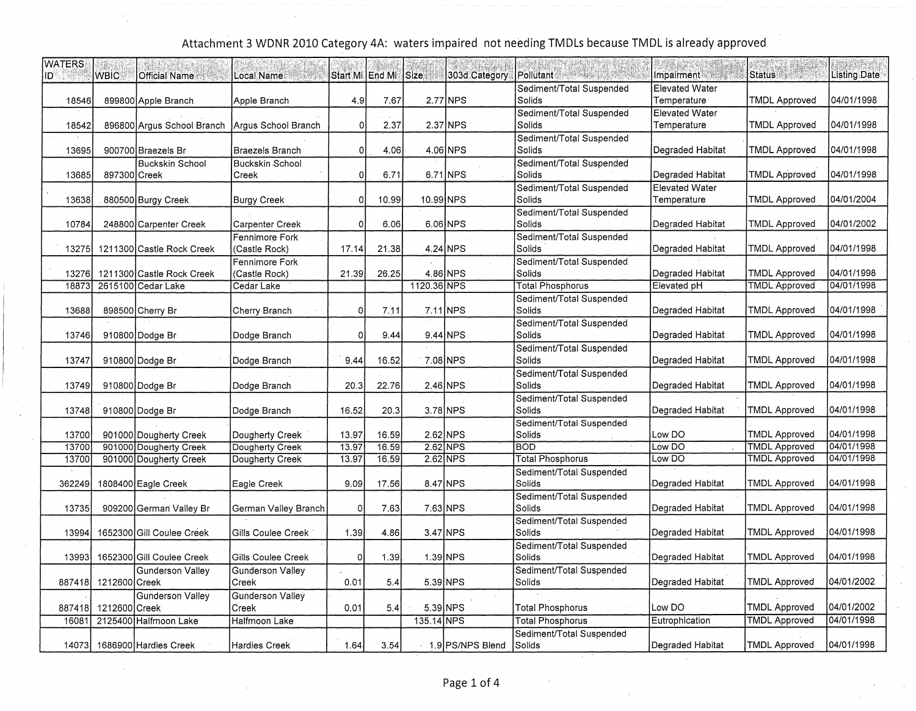| <b>WATERS</b><br>ּכוו | <b>WBIC</b>   | <b>Official Name</b>          | Local Name                      |                | Start Mi End Mi Size |             | 303d Category    | <b>Pollutant</b><br>Philip al d    | Impairment                           | <b>Status</b>        | <b>Listing Date</b> |
|-----------------------|---------------|-------------------------------|---------------------------------|----------------|----------------------|-------------|------------------|------------------------------------|--------------------------------------|----------------------|---------------------|
|                       |               |                               |                                 |                |                      |             |                  | Sediment/Total Suspended           | <b>Elevated Water</b>                |                      |                     |
| 18546                 |               | 899800 Apple Branch           | Apple Branch                    | 4.9            | 7.67                 |             | 2.77 NPS         | Solids                             | Temperature                          | <b>TMDL Approved</b> | 04/01/1998          |
| 18542                 |               | 896800 Argus School Branch    | Argus School Branch             | $\Omega$       | 2.37                 |             | $2.37$ NPS       | Sediment/Total Suspended<br>Solids | Elevated Water<br>Temperature        | <b>TMDL Approved</b> | 04/01/1998          |
| 13695                 |               | 900700 Braezels Br            | Braezels Branch                 | 0              | 4.06                 |             | $4.06$ NPS       | Sediment/Total Suspended<br>Solids | Degraded Habitat                     | <b>TMDL Approved</b> | 04/01/1998          |
| 13685                 | 897300 Creek  | <b>Buckskin School</b>        | Buckskin School<br>Creek        | 0              | 6.71                 |             | 6.71 NPS         | Sediment/Total Suspended<br>Solids | Degraded Habitat                     | <b>TMDL Approved</b> | 04/01/1998          |
| 13638                 |               | 880500 Burgy Creek            | <b>Burgy Creek</b>              | οI             | 10.99                | 10.99 NPS   |                  | Sediment/Total Suspended<br>Solids | <b>Elevated Water</b><br>Temperature | TMDL Approved        | 04/01/2004          |
| 10784                 |               | 248800 Carpenter Creek        | <b>Carpenter Creek</b>          | $\Omega$       | 6.06                 |             | 6.06 NPS         | Sediment/Total Suspended<br>Solids | Degraded Habitat                     | <b>TMDL Approved</b> | 04/01/2002          |
| 13275                 |               | 1211300 Castle Rock Creek     | Fennimore Fork<br>(Castle Rock) | 17.14          | 21.38                |             | $4.24$ NPS       | Sediment/Total Suspended<br>Solids | Degraded Habitat                     | <b>TMDL Approved</b> | 04/01/1998          |
| 13276                 |               | 1211300 Castle Rock Creek     | Fennimore Fork<br>(Castle Rock) | 21.39          | 26.25                |             | 4.86 NPS         | Sediment/Total Suspended<br>Solids | Degraded Habitat                     | <b>TMDL Approved</b> | 04/01/1998          |
| 18873                 |               | 2615100 Cedar Lake            | Cedar Lake                      |                |                      | 1120.36 NPS |                  | <b>Total Phosphorus</b>            | Elevated pH                          | <b>TMDL Approved</b> | 04/01/1998          |
|                       |               |                               |                                 |                |                      |             |                  | Sediment/Total Suspended           |                                      |                      |                     |
| 13688                 |               | 898500 Cherry Br              | Cherry Branch                   | 0              | 7.11                 |             | $7.11$ NPS       | Solids                             | Degraded Habitat                     | <b>TMDL Approved</b> | 04/01/1998          |
|                       |               |                               |                                 |                |                      |             |                  | Sediment/Total Suspended           |                                      |                      |                     |
| 13746                 |               | 910800 Dodge Br               | Dodge Branch                    | $\Omega$       | 9.44                 |             | $9.44$ NPS       | Solids                             | Degraded Habitat                     | <b>TMDL Approved</b> | 04/01/1998          |
|                       |               |                               |                                 |                |                      |             |                  | Sediment/Total Suspended           |                                      |                      |                     |
| 13747                 |               | 910800 Dodge Br               | Dodge Branch                    | 9.44           | 16.52                |             | 7.08 NPS         | Solids                             | Degraded Habitat                     | <b>TMDL Approved</b> | 04/01/1998          |
|                       |               |                               |                                 |                |                      |             |                  | Sediment/Total Suspended           |                                      |                      |                     |
| 13749                 |               | 910800 Dodge Br               | Dodge Branch                    | 20.3           | 22.76                |             | 2.46 NPS         | Solids                             | Degraded Habitat                     | TMDL Approved        | 04/01/1998          |
|                       |               |                               |                                 |                |                      |             |                  | Sediment/Total Suspended           |                                      |                      |                     |
| 13748                 |               | 910800 Dodge Br               | Dodge Branch                    | 16.52          | 20.3                 |             | $3.78$ NPS       | Solids                             | Degraded Habitat                     | TMDL Approved        | 04/01/1998          |
|                       |               |                               |                                 |                |                      |             |                  | Sediment/Total Suspended           |                                      |                      |                     |
| 13700                 |               | 901000 Dougherty Creek        | Dougherty Creek                 | 13.97          | 16.59                |             | $2.62$ NPS       | Solids                             | Low DO                               | <b>TMDL Approved</b> | 04/01/1998          |
| 13700                 |               | 901000 Dougherty Creek        | Dougherty Creek                 | 13.97          | 16.59                |             | $2.62$ NPS       | <b>BOD</b>                         | Low DO                               | <b>TMDL Approved</b> | 04/01/1998          |
| 13700                 |               | 901000 Dougherty Creek        | Dougherty Creek                 | 13.97          | 16.59                |             | $2.62$ NPS       | <b>Total Phosphorus</b>            | Low DO                               | <b>TMDL Approved</b> | 04/01/1998          |
|                       |               |                               |                                 |                |                      |             |                  | Sediment/Total Suspended           |                                      |                      |                     |
| 362249                |               | 1808400 Eagle Creek           | Eagle Creek                     | 9.09           | 17.56                |             | 8.47 NPS         | Solids                             | Degraded Habitat                     | TMDL Approved        | 04/01/1998          |
|                       |               |                               |                                 |                |                      |             |                  | Sediment/Total Suspended           |                                      |                      |                     |
| 13735                 |               | 909200 German Valley Br       | German Valley Branch            | 0              | 7.63                 |             | 7.63 NPS         | Solids                             | Degraded Habitat                     | <b>TMDL Approved</b> | 04/01/1998          |
|                       |               |                               |                                 |                |                      |             |                  | Sediment/Total Suspended           |                                      |                      |                     |
| 13994                 |               | 1652300 Gill Coulee Creek     | Gills Coulee Creek              | 1.39           | 4.86                 |             | $3.47$ NPS       | Solids                             | Degraded Habitat                     | TMDL Approved        | 04/01/1998          |
| 13993                 |               | 1652300 Gill Coulee Creek     | Gills Coulee Creek              | $\overline{0}$ | 1.39                 | 1.39 NPS    |                  | Sediment/Total Suspended<br>Solids | Degraded Habitat                     | <b>TMDL Approved</b> | 04/01/1998          |
|                       |               | <b>Gunderson Valley</b>       | <b>Gunderson Valley</b>         |                |                      |             |                  | Sediment/Total Suspended           |                                      |                      |                     |
| 887418                | 1212600 Creek |                               | Creek                           | 0.01           | 5.4                  |             | $5.39$ NPS       | Solids                             | Degraded Habitat                     | <b>TMDL Approved</b> | 04/01/2002          |
|                       |               | Gunderson Valley              | <b>Gunderson Valley</b>         |                |                      |             |                  |                                    |                                      |                      |                     |
| 887418                | 1212600 Creek |                               | Creek                           | 0.01           | 5.4                  |             | $5.39$ NPS       | <b>Total Phosphorus</b>            | Low DO                               | <b>TMDL Approved</b> | 04/01/2002          |
| 16081                 |               | 2125400 Halfmoon Lake         | Halfmoon Lake                   |                |                      | 135.14 NPS  |                  | <b>Total Phosphorus</b>            | Eutrophication                       | <b>TMDL Approved</b> | 04/01/1998          |
|                       |               |                               |                                 |                |                      |             |                  | Sediment/Total Suspended           |                                      |                      |                     |
|                       |               | 14073   1686900 Hardies Creek | <b>Hardies Creek</b>            | 1.64           | 3.54                 |             | 1.9 PS/NPS Blend | Solids                             | Degraded Habitat                     | <b>TMDL Approved</b> | 04/01/1998          |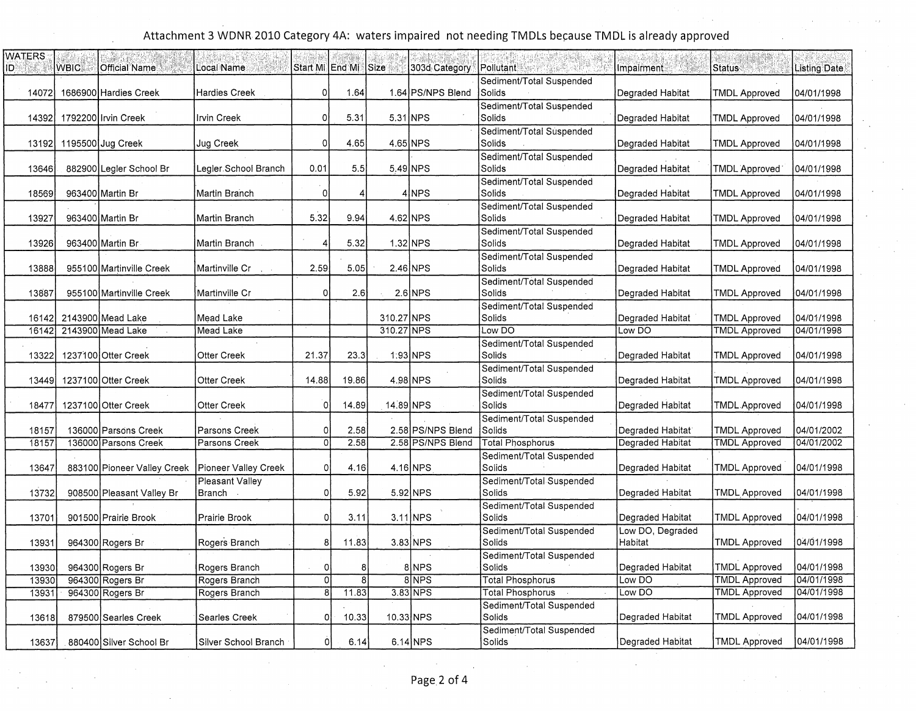| <b>WATERS</b><br>IDI | <b>WBIC</b> | <b>Official Name</b>        | Local Name           | Start Mi LEnd Mi |       | <b>Size</b> | 303d Category     | 5. 医空中麻痹<br><b>Pollutant</b>       | Impairment:      | <b>Status</b>        | <b>Listing Date</b> |
|----------------------|-------------|-----------------------------|----------------------|------------------|-------|-------------|-------------------|------------------------------------|------------------|----------------------|---------------------|
|                      |             |                             |                      |                  |       |             |                   | Sediment/Total Suspended           |                  |                      |                     |
| 14072                |             | 1686900 Hardies Creek       | Hardies Creek        | οl               | 1.64  |             | 1.64 PS/NPS Blend | Solids                             | Degraded Habitat | <b>TMDL Approved</b> | 04/01/1998          |
|                      |             |                             |                      |                  |       |             |                   | Sediment/Total Suspended           |                  |                      |                     |
| 14392                |             | 1792200 Irvin Creek         | Irvin Creek          | $\overline{0}$   | 5.31  |             | $5.31$ NPS        | Solids                             | Degraded Habitat | <b>TMDL Approved</b> | 04/01/1998          |
|                      |             |                             |                      |                  |       |             |                   | Sediment/Total Suspended           |                  |                      |                     |
| 13192                |             | 1195500 Jug Creek           | Jug Creek            | 0                | 4.65  |             | 4.65 NPS          | Solids                             | Degraded Habitat | <b>TMDL Approved</b> | 04/01/1998          |
|                      |             |                             |                      |                  |       |             |                   | Sediment/Total Suspended           |                  |                      |                     |
| 13646                |             | 882900 Legler School Br     | Legler School Branch | 0.01             | 5.5   |             | 5.49 NPS          | Solids                             | Degraded Habitat | TMDL Approved        | 04/01/1998          |
| 18569                |             | 963400 Martin Br            | Martin Branch        | $\Omega$         |       |             | 4 NPS             | Sediment/Total Suspended<br>Solids | Degraded Habitat | <b>TMDL Approved</b> | 04/01/1998          |
|                      |             |                             |                      |                  |       |             |                   | Sediment/Total Suspended           |                  |                      |                     |
| 13927                |             | 963400 Martin Br            | Martin Branch        | 5.32             | 9.94  |             | 4.62 NPS          | Solids                             | Degraded Habitat | TMDL Approved        | 04/01/1998          |
|                      |             |                             |                      |                  |       |             |                   | Sediment/Total Suspended           |                  |                      |                     |
| 13926                |             | 963400 Martin Br            | Martin Branch        | 4                | 5.32  |             | $1.32$ NPS        | Solids                             | Degraded Habitat | <b>TMDL Approved</b> | 04/01/1998          |
|                      |             |                             |                      |                  |       |             |                   | Sediment/Total Suspended           |                  |                      |                     |
| 13888                |             | 955100 Martinville Creek    | Martinville Cr       | 2.59             | 5.05  |             | $2.46$ NPS        | Solids                             | Degraded Habitat | TMDL Approved        | 04/01/1998          |
|                      |             |                             |                      |                  |       |             |                   | Sediment/Total Suspended           |                  |                      |                     |
| 13887                |             | 955100 Martinville Creek    | Martinville Cr       | $\mathbf 0$      | 2.6   |             | $2.6$ NPS         | Solids                             | Degraded Habitat | <b>TMDL Approved</b> | 04/01/1998          |
|                      |             |                             |                      |                  |       |             |                   | Sediment/Total Suspended           |                  |                      |                     |
| 16142                |             | 2143900 Mead Lake           | Mead Lake            |                  |       | 310.27 NPS  |                   | Solids                             | Degraded Habitat | <b>TMDL Approved</b> | 04/01/1998          |
| 16142                |             | 2143900 Mead Lake           | Mead Lake            |                  |       | 310.27 NPS  |                   | Low DO                             | Low DO           | <b>TMDL Approved</b> | 04/01/1998          |
|                      |             |                             |                      |                  |       |             |                   | Sediment/Total Suspended           |                  |                      |                     |
| 13322                |             | 1237100 Otter Creek         | <b>Otter Creek</b>   | 21.37            | 23.3  |             | $1.93$ NPS        | Solids                             | Degraded Habitat | <b>TMDL Approved</b> | 04/01/1998          |
|                      |             |                             |                      |                  |       |             |                   | Sediment/Total Suspended<br>Solids |                  |                      |                     |
| 13449                |             | 1237100 Otter Creek         | Otter Creek          | 14.88            | 19.86 |             | $4.98$ NPS        | Sediment/Total Suspended           | Degraded Habitat | <b>TMDL Approved</b> | 04/01/1998          |
| 18477                |             | 1237100 Otter Creek         | Otter Creek          | $\mathbf 0$      | 14.89 | 14.89 NPS   |                   | Solids                             | Degraded Habitat | TMDL Approved        | 04/01/1998          |
|                      |             |                             |                      |                  |       |             |                   | Sediment/Total Suspended           |                  |                      |                     |
| 18157                |             | 136000 Parsons Creek        | Parsons Creek        | $\circ$          | 2.58  |             | 2.58 PS/NPS Blend | Solids                             | Degraded Habitat | <b>TMDL Approved</b> | 04/01/2002          |
| 18157                |             | 136000 Parsons Creek        | Parsons Creek        | $\overline{0}$   | 2.58  |             | 2.58 PS/NPS Blend | <b>Total Phosphorus</b>            | Degraded Habitat | <b>TMDL Approved</b> | 04/01/2002          |
|                      |             |                             |                      |                  |       |             |                   | Sediment/Total Suspended           |                  |                      |                     |
| 13647                |             | 883100 Pioneer Valley Creek | Pioneer Valley Creek | $\mathbf 0$      | 4.16  |             | 4.16 NPS          | Solids                             | Degraded Habitat | TMDL Approved        | 04/01/1998          |
|                      |             |                             | Pleasant Valley      |                  |       |             |                   | Sediment/Total Suspended           |                  |                      |                     |
| 13732                |             | 908500 Pleasant Valley Br   | Branch .             | $\circ$          | 5.92  |             | $5.92$ NPS        | Solids                             | Degraded Habitat | <b>TMDL Approved</b> | 04/01/1998          |
|                      |             |                             |                      |                  |       |             |                   | Sediment/Total Suspended           |                  |                      |                     |
| 13701                |             | 901500 Prairie Brook        | Prairie Brook        | $\mathbf{0}$     | 3.11  |             | 3.11 NPS          | Solids                             | Degraded Habitat | <b>TMDL Approved</b> | 04/01/1998          |
|                      |             |                             |                      |                  |       |             |                   | Sediment/Total Suspended           | Low DO, Degraded |                      |                     |
| 13931                |             | 964300 Rogers Br            | Rogers Branch        | 8                | 11.83 |             | $3.83$ NPS        | Solids                             | Habitat          | TMDL Approved        | 04/01/1998          |
|                      |             |                             |                      |                  |       |             |                   | Sediment/Total Suspended           |                  |                      |                     |
| 13930                |             | 964300 Rogers Br            | Rogers Branch        | $\circ$          | 8     |             | 8 NPS             | Solids                             | Degraded Habitat | <b>TMDL Approved</b> | 04/01/1998          |
| 13930                |             | 964300 Rogers Br            | Rogers Branch        | $\Omega$         | 8     |             | 8NPS              | <b>Total Phosphorus</b>            | Low DO           | <b>TMDL Approved</b> | 04/01/1998          |
| 13931                |             | 964300 Rogers Br            | Rogers Branch        | $\overline{8}$   | 11.83 |             | 3.83 NPS          | Total Phosphorus                   | Low DO           | <b>TMDL Approved</b> | 04/01/1998          |
|                      |             |                             |                      | οI               |       |             | 10.33 NPS         | Sediment/Total Suspended<br>Solids | Degraded Habitat | <b>TMDL Approved</b> | 04/01/1998          |
| 13618                |             | 879500 Searles Creek        | Searles Creek        |                  | 10.33 |             |                   | Sediment/Total Suspended           |                  |                      |                     |
| 13637                |             | 880400 Silver School Br     | Silver School Branch | Οl               | 6.14  |             | 6.14 NPS          | Solids                             | Degraded Habitat | <b>TMDL Approved</b> | 04/01/1998          |
|                      |             |                             |                      |                  |       |             |                   |                                    |                  |                      |                     |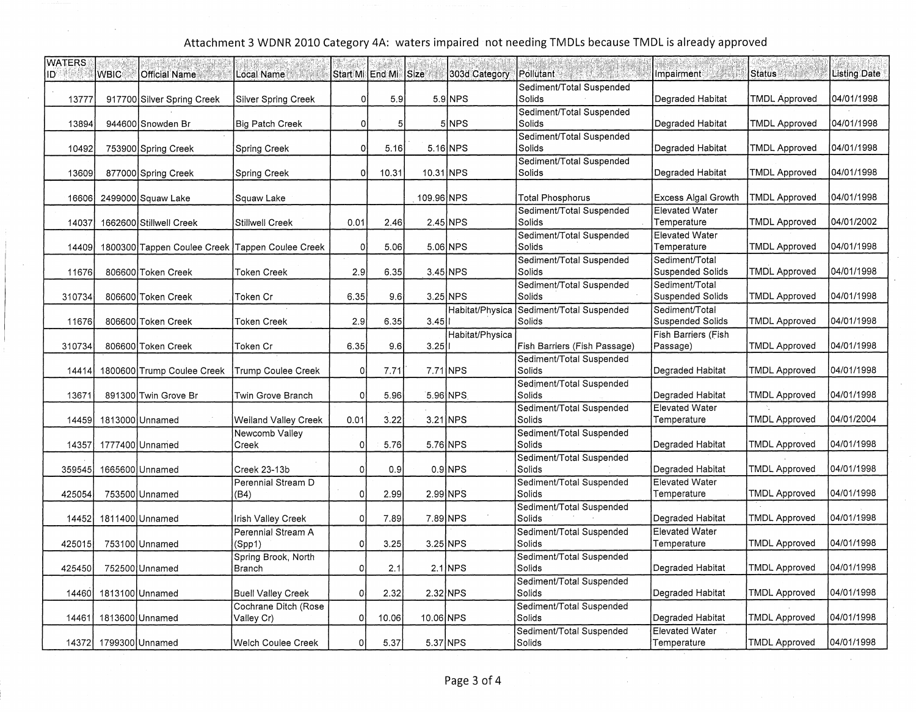| <b>WATERS</b><br>ID | <b>WBIC</b>           | <b>Official Name</b>                            | Local Name                         |                | Start Mi End Mi Size |            | 303d Category   | <b>Pollutant</b>                   | Impairment                                | Status               | <b>Listing Date</b> |
|---------------------|-----------------------|-------------------------------------------------|------------------------------------|----------------|----------------------|------------|-----------------|------------------------------------|-------------------------------------------|----------------------|---------------------|
| 13777               |                       | 917700 Silver Spring Creek                      | <b>Silver Spring Creek</b>         | 0              | 5.9                  |            | $5.9$ NPS       | Sediment/Total Suspended<br>Solids | Degraded Habitat                          | <b>TMDL Approved</b> | 04/01/1998          |
| 13894               |                       | 944600 Snowden Br                               | <b>Big Patch Creek</b>             | 0              | 5 <sup>5</sup>       |            | 5 NPS           | Sediment/Total Suspended<br>Solids | Degraded Habitat                          | <b>TMDL Approved</b> | 04/01/1998          |
| 10492               |                       | 753900 Spring Creek                             | Spring Creek                       | $\circ$        | 5.16                 |            | 5.16 NPS        | Sediment/Total Suspended<br>Solids | Degraded Habitat                          | <b>TMDL Approved</b> | 04/01/1998          |
| 13609               |                       | 877000 Spring Creek                             | Spring Creek                       | $\Omega$       | 10.31                | 10.31 NPS  |                 | Sediment/Total Suspended<br>Solids | Degraded Habitat                          | <b>TMDL Approved</b> | 04/01/1998          |
| 16606               |                       | 2499000 Squaw Lake                              | Squaw Lake                         |                |                      | 109.96 NPS |                 | <b>Total Phosphorus</b>            | Excess Algal Growth                       | <b>TMDL Approved</b> | 04/01/1998          |
| 14037               |                       | 1662600 Stillwell Creek                         | Stillwell Creek                    | 0.01           | 2.46                 |            | $2.45$ NPS      | Sediment/Total Suspended<br>Solids | <b>Elevated Water</b><br>Temperature      | TMDL Approved        | 04/01/2002          |
| 14409               |                       | 1800300 Tappen Coulee Creek Tappen Coulee Creek |                                    | 0              | 5.06                 |            | $5.06$ NPS      | Sediment/Total Suspended<br>Solids | <b>Elevated Water</b><br>Temperature      | <b>TMDL Approved</b> | 04/01/1998          |
| 11676               |                       | 806600 Token Creek                              | Token Creek                        | 2.9            | 6.35                 |            | $3.45$ NPS      | Sediment/Total Suspended<br>Solids | Sediment/Total<br><b>Suspended Solids</b> | <b>TMDL Approved</b> | 04/01/1998          |
| 310734              |                       | 806600 Token Creek                              | Token Cr                           | 6.35           | 9.61                 |            | $3.25$ NPS      | Sediment/Total Suspended<br>Solids | Sediment/Total<br>Suspended Solids        | TMDL Approved        | 04/01/1998          |
| 11676               |                       | 806600 Token Creek                              | Token Creek                        | 2.9            | 6.35                 | $3.45$     | Habitat/Physica | Sediment/Total Suspended<br>Solids | Sediment/Total<br><b>Suspended Solids</b> | TMDL Approved        | 04/01/1998          |
| 310734              |                       | 806600 Token Creek                              | Token Cr                           | 6.35           | 9.6                  | $3.25$     | Habitat/Physica | Fish Barriers (Fish Passage)       | Fish Barriers (Fish<br>Passage)           | <b>TMDL Approved</b> | 04/01/1998          |
| 14414               |                       | 1800600 Trump Coulee Creek                      | <b>Trump Coulee Creek</b>          | 0              | 7.71                 |            | 7.71 NPS        | Sediment/Total Suspended<br>Solids | Degraded Habitat                          | <b>TMDL Approved</b> | 04/01/1998          |
| 13671               |                       | 891300 Twin Grove Br                            | Twin Grove Branch                  | $\mathbf 0$    | 5.96                 |            | 5.96 NPS        | Sediment/Total Suspended<br>Solids | Degraded Habitat                          | <b>TMDL Approved</b> | 04/01/1998          |
| 14459               |                       | 1813000 Unnamed                                 | <b>Weiland Valley Creek</b>        | 0.01           | 3.22                 |            | 3.21 NPS        | Sediment/Total Suspended<br>Solids | <b>Elevated Water</b><br>Temperature      | <b>TMDL Approved</b> | 04/01/2004          |
| 14357               |                       | 1777400 Unnamed                                 | Newcomb Valley<br>Creek            | 0              | 5.76                 |            | $5.76$ NPS      | Sediment/Total Suspended<br>Solids | Degraded Habitat                          | <b>TMDL Approved</b> | 04/01/1998          |
| 359545              |                       | 1665600 Unnamed                                 | Creek 23-13b                       | 0              | 0.9                  |            | $0.9$ NPS       | Sediment/Total Suspended<br>Solids | Degraded Habitat                          | <b>TMDL Approved</b> | 04/01/1998          |
| 425054              |                       | 753500 Unnamed                                  | Perennial Stream D<br>(B4)         | 0              | 2.99                 |            | 2.99 NPS        | Sediment/Total Suspended<br>Solids | <b>Elevated Water</b><br>Temperature      | TMDL Approved        | 04/01/1998          |
| 14452               |                       | 1811400 Unnamed                                 | Irish Valley Creek                 | $\mathbf{0}$   | 7.89                 |            | 7.89 NPS        | Sediment/Total Suspended<br>Solids | Degraded Habitat                          | <b>TMDL Approved</b> | 04/01/1998          |
| 425015              |                       | 753100 Unnamed                                  | Perennial Stream A<br>(Spp1)       | $\Omega$       | 3.25                 |            | $3.25$ NPS      | Sediment/Total Suspended<br>Solids | <b>Elevated Water</b><br>Temperature      | <b>TMDL Approved</b> | 04/01/1998          |
| 425450              |                       | 752500 Unnamed                                  | Spring Brook, North<br>Branch      | $\overline{0}$ | 2.1                  |            | $2.1$ NPS       | Sediment/Total Suspended<br>Solids | Degraded Habitat                          | <b>TMDL Approved</b> | 04/01/1998          |
| 14460               |                       | 1813100 Unnamed                                 | <b>Buell Valley Creek</b>          | $\overline{0}$ | 2.32                 |            | $2.32$ NPS      | Sediment/Total Suspended<br>Solids | Degraded Habitat                          | <b>TMDL Approved</b> | 04/01/1998          |
| 14461               |                       | 1813600 Unnamed                                 | Cochrane Ditch (Rose<br>Valley Cr) | ٥l             | 10.06                | 10.06 NPS  |                 | Sediment/Total Suspended<br>Solids | Degraded Habitat                          | <b>TMDL Approved</b> | 04/01/1998          |
|                     | 14372 1799300 Unnamed |                                                 | Welch Coulee Creek                 | 0              | 5.37                 | 5.37 NPS   |                 | Sediment/Total Suspended<br>Solids | Elevated Water<br>Temperature             | <b>TMDL Approved</b> | 04/01/1998          |